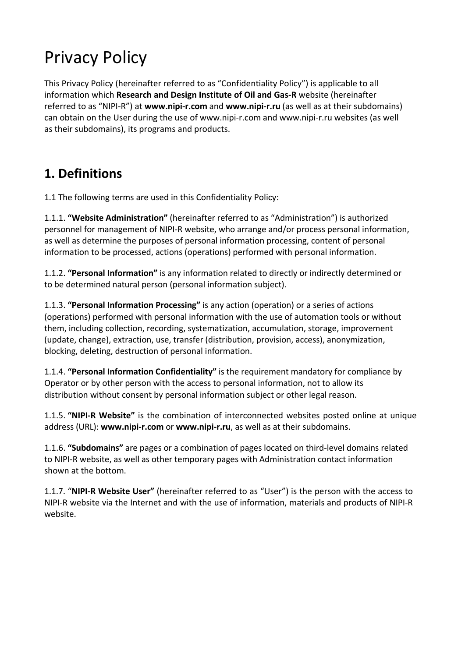# Privacy Policy

This Privacy Policy (hereinafter referred to as "Confidentiality Policy") is applicable to all information which **Research and Design Institute of Oil and Gas‐R** website (hereinafter referred to as "NIPI‐R") at **www.nipi‐r.com** and **www.nipi‐r.ru** (as well as at their subdomains) can obtain on the User during the use of www.nipi‐r.com and www.nipi‐r.ru websites (as well as their subdomains), its programs and products.

#### **1. Definitions**

1.1 The following terms are used in this Confidentiality Policy:

1.1.1. **"Website Administration"** (hereinafter referred to as "Administration") is authorized personnel for management of NIPI‐R website, who arrange and/or process personal information, as well as determine the purposes of personal information processing, content of personal information to be processed, actions (operations) performed with personal information.

1.1.2. **"Personal Information"** is any information related to directly or indirectly determined or to be determined natural person (personal information subject).

1.1.3. **"Personal Information Processing"** is any action (operation) or a series of actions (operations) performed with personal information with the use of automation tools or without them, including collection, recording, systematization, accumulation, storage, improvement (update, change), extraction, use, transfer (distribution, provision, access), anonymization, blocking, deleting, destruction of personal information.

1.1.4. **"Personal Information Confidentiality"** is the requirement mandatory for compliance by Operator or by other person with the access to personal information, not to allow its distribution without consent by personal information subject or other legal reason.

1.1.5. **"NIPI‐R Website"** is the combination of interconnected websites posted online at unique address (URL): **www.nipi‐r.com** or **www.nipi‐r.ru**, as well as at their subdomains.

1.1.6. **"Subdomains"** are pages or a combination of pages located on third‐level domains related to NIPI‐R website, as well as other temporary pages with Administration contact information shown at the bottom.

1.1.7. "**NIPI‐R Website User"** (hereinafter referred to as "User") is the person with the access to NIPI‐R website via the Internet and with the use of information, materials and products of NIPI‐R website.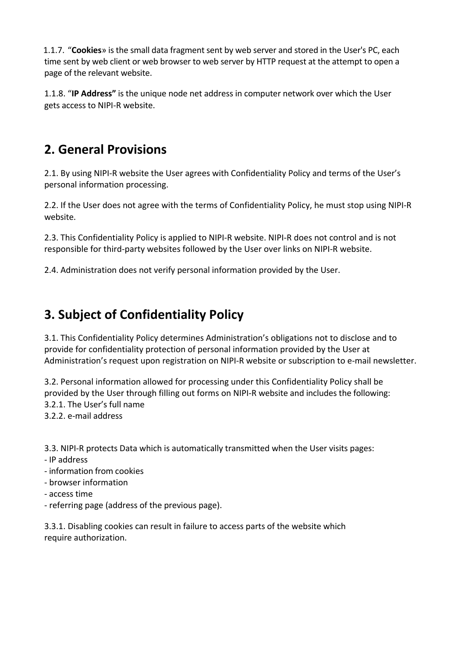1.1.7. "**Cookies**» is the small data fragment sent by web server and stored in the User's PC, each time sent by web client or web browser to web server by HTTP request at the attempt to open a page of the relevant website.

1.1.8. "**IP Address"** is the unique node net address in computer network over which the User gets access to NIPI‐R website.

## **2. General Provisions**

2.1. By using NIPI-R website the User agrees with Confidentiality Policy and terms of the User's personal information processing.

2.2. If the User does not agree with the terms of Confidentiality Policy, he must stop using NIPI‐R website.

2.3. This Confidentiality Policy is applied to NIPI‐R website. NIPI‐R does not control and is not responsible for third‐party websites followed by the User over links on NIPI‐R website.

2.4. Administration does not verify personal information provided by the User.

## **3. Subject of Confidentiality Policy**

3.1. This Confidentiality Policy determines Administration's obligations not to disclose and to provide for confidentiality protection of personal information provided by the User at Administration's request upon registration on NIPI-R website or subscription to e-mail newsletter.

3.2. Personal information allowed for processing under this Confidentiality Policy shall be provided by the User through filling out forms on NIPI‐R website and includes the following: 3.2.1. The User's full name 3.2.2. e‐mail address

3.3. NIPI-R protects Data which is automatically transmitted when the User visits pages:

- ‐ IP address
- ‐ information from cookies
- ‐ browser information
- ‐ access time
- ‐ referring page (address of the previous page).

3.3.1. Disabling cookies can result in failure to access parts of the website which require authorization.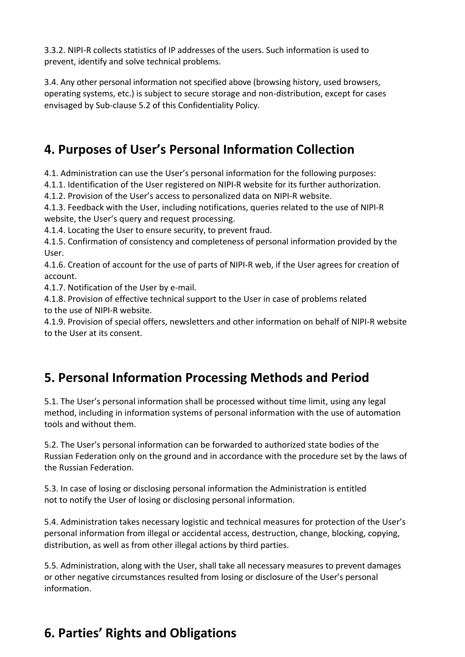3.3.2. NIPI‐R collects statistics of IP addresses of the users. Such information is used to prevent, identify and solve technical problems.

3.4. Any other personal information not specified above (browsing history, used browsers, operating systems, etc.) is subject to secure storage and non‐distribution, except for cases envisaged by Sub‐clause 5.2 of this Confidentiality Policy.

## **4. Purposes of User's Personal Information Collection**

4.1. Administration can use the User's personal information for the following purposes:

4.1.1. Identification of the User registered on NIPI-R website for its further authorization.

4.1.2. Provision of the User's access to personalized data on NIPI‐R website.

4.1.3. Feedback with the User, including notifications, queries related to the use of NIPI‐R website, the User's query and request processing.

4.1.4. Locating the User to ensure security, to prevent fraud.

4.1.5. Confirmation of consistency and completeness of personal information provided by the User.

4.1.6. Creation of account for the use of parts of NIPI‐R web, if the User agrees for creation of account.

4.1.7. Notification of the User by e-mail.

4.1.8. Provision of effective technical support to the User in case of problems related to the use of NIPI‐R website.

4.1.9. Provision of special offers, newsletters and other information on behalf of NIPI‐R website to the User at its consent.

## **5. Personal Information Processing Methods and Period**

5.1. The User's personal information shall be processed without time limit, using any legal method, including in information systems of personal information with the use of automation tools and without them.

5.2. The User's personal information can be forwarded to authorized state bodies of the Russian Federation only on the ground and in accordance with the procedure set by the laws of the Russian Federation.

5.3. In case of losing or disclosing personal information the Administration is entitled not to notify the User of losing or disclosing personal information.

5.4. Administration takes necessary logistic and technical measures for protection of the User's personal information from illegal or accidental access, destruction, change, blocking, copying, distribution, as well as from other illegal actions by third parties.

5.5. Administration, along with the User, shall take all necessary measures to prevent damages or other negative circumstances resulted from losing or disclosure of the User's personal information.

## **6. Parties' Rights and Obligations**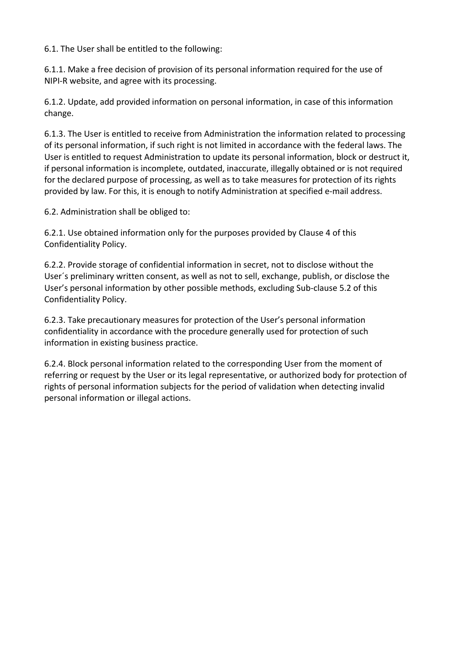6.1. The User shall be entitled to the following:

6.1.1. Make a free decision of provision of its personal information required for the use of NIPI‐R website, and agree with its processing.

6.1.2. Update, add provided information on personal information, in case of this information change.

6.1.3. The User is entitled to receive from Administration the information related to processing of its personal information, if such right is not limited in accordance with the federal laws. The User is entitled to request Administration to update its personal information, block or destruct it, if personal information is incomplete, outdated, inaccurate, illegally obtained or is not required for the declared purpose of processing, as well as to take measures for protection of its rights provided by law. For this, it is enough to notify Administration at specified e‐mail address.

6.2. Administration shall be obliged to:

6.2.1. Use obtained information only for the purposes provided by Clause 4 of this Confidentiality Policy.

6.2.2. Provide storage of confidential information in secret, not to disclose without the User´s preliminary written consent, as well as not to sell, exchange, publish, or disclose the User's personal information by other possible methods, excluding Sub‐clause 5.2 of this Confidentiality Policy.

6.2.3. Take precautionary measures for protection of the User's personal information confidentiality in accordance with the procedure generally used for protection of such information in existing business practice.

6.2.4. Block personal information related to the corresponding User from the moment of referring or request by the User or its legal representative, or authorized body for protection of rights of personal information subjects for the period of validation when detecting invalid personal information or illegal actions.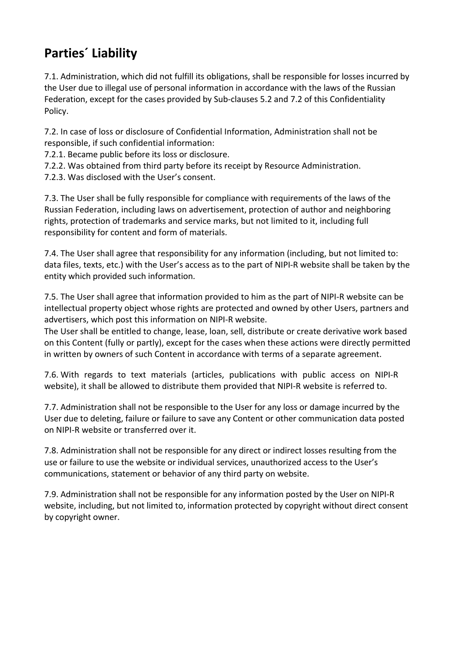## **Parties´ Liability**

7.1. Administration, which did not fulfill its obligations, shall be responsible for losses incurred by the User due to illegal use of personal information in accordance with the laws of the Russian Federation, except for the cases provided by Sub-clauses 5.2 and 7.2 of this Confidentiality Policy.

7.2. In case of loss or disclosure of Confidential Information, Administration shall not be responsible, if such confidential information:

7.2.1. Became public before its loss or disclosure.

- 7.2.2. Was obtained from third party before its receipt by Resource Administration.
- 7.2.3. Was disclosed with the User's consent.

7.3. The User shall be fully responsible for compliance with requirements of the laws of the Russian Federation, including laws on advertisement, protection of author and neighboring rights, protection of trademarks and service marks, but not limited to it, including full responsibility for content and form of materials.

7.4. The User shall agree that responsibility for any information (including, but not limited to: data files, texts, etc.) with the User's access as to the part of NIPI‐R website shall be taken by the entity which provided such information.

7.5. The User shall agree that information provided to him as the part of NIPI‐R website can be intellectual property object whose rights are protected and owned by other Users, partners and advertisers, which post this information on NIPI‐R website.

The User shall be entitled to change, lease, loan, sell, distribute or create derivative work based on this Content (fully or partly), except for the cases when these actions were directly permitted in written by owners of such Content in accordance with terms of a separate agreement.

7.6. With regards to text materials (articles, publications with public access on NIPI‐R website), it shall be allowed to distribute them provided that NIPI-R website is referred to.

7.7. Administration shall not be responsible to the User for any loss or damage incurred by the User due to deleting, failure or failure to save any Content or other communication data posted on NIPI‐R website or transferred over it.

7.8. Administration shall not be responsible for any direct or indirect losses resulting from the use or failure to use the website or individual services, unauthorized access to the User's communications, statement or behavior of any third party on website.

7.9. Administration shall not be responsible for any information posted by the User on NIPI‐R website, including, but not limited to, information protected by copyright without direct consent by copyright owner.